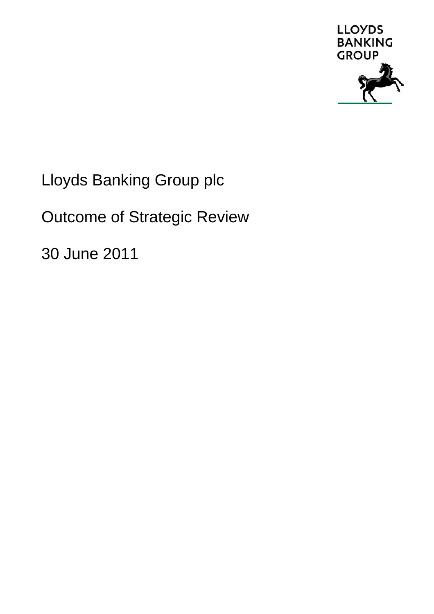

Lloyds Banking Group plc

Outcome of Strategic Review

30 June 2011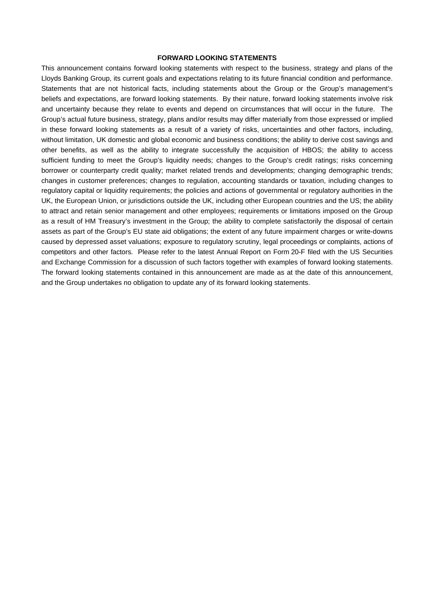#### **FORWARD LOOKING STATEMENTS**

This announcement contains forward looking statements with respect to the business, strategy and plans of the Lloyds Banking Group, its current goals and expectations relating to its future financial condition and performance. Statements that are not historical facts, including statements about the Group or the Group's management's beliefs and expectations, are forward looking statements. By their nature, forward looking statements involve risk and uncertainty because they relate to events and depend on circumstances that will occur in the future. The Group's actual future business, strategy, plans and/or results may differ materially from those expressed or implied in these forward looking statements as a result of a variety of risks, uncertainties and other factors, including, without limitation, UK domestic and global economic and business conditions; the ability to derive cost savings and other benefits, as well as the ability to integrate successfully the acquisition of HBOS; the ability to access sufficient funding to meet the Group's liquidity needs; changes to the Group's credit ratings; risks concerning borrower or counterparty credit quality; market related trends and developments; changing demographic trends; changes in customer preferences; changes to regulation, accounting standards or taxation, including changes to regulatory capital or liquidity requirements; the policies and actions of governmental or regulatory authorities in the UK, the European Union, or jurisdictions outside the UK, including other European countries and the US; the ability to attract and retain senior management and other employees; requirements or limitations imposed on the Group as a result of HM Treasury's investment in the Group; the ability to complete satisfactorily the disposal of certain assets as part of the Group's EU state aid obligations; the extent of any future impairment charges or write-downs caused by depressed asset valuations; exposure to regulatory scrutiny, legal proceedings or complaints, actions of competitors and other factors. Please refer to the latest Annual Report on Form 20-F filed with the US Securities and Exchange Commission for a discussion of such factors together with examples of forward looking statements. The forward looking statements contained in this announcement are made as at the date of this announcement, and the Group undertakes no obligation to update any of its forward looking statements.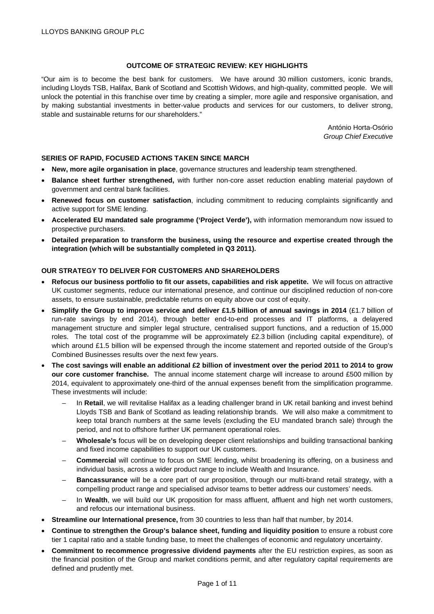## **OUTCOME OF STRATEGIC REVIEW: KEY HIGHLIGHTS**

"Our aim is to become the best bank for customers. We have around 30 million customers, iconic brands, including Lloyds TSB, Halifax, Bank of Scotland and Scottish Widows, and high-quality, committed people. We will unlock the potential in this franchise over time by creating a simpler, more agile and responsive organisation, and by making substantial investments in better-value products and services for our customers, to deliver strong, stable and sustainable returns for our shareholders."

> António Horta-Osório *Group Chief Executive*

## **SERIES OF RAPID, FOCUSED ACTIONS TAKEN SINCE MARCH**

- **New, more agile organisation in place**, governance structures and leadership team strengthened.
- **Balance sheet further strengthened,** with further non-core asset reduction enabling material paydown of government and central bank facilities.
- **Renewed focus on customer satisfaction**, including commitment to reducing complaints significantly and active support for SME lending.
- **Accelerated EU mandated sale programme ('Project Verde'),** with information memorandum now issued to prospective purchasers.
- **Detailed preparation to transform the business, using the resource and expertise created through the integration (which will be substantially completed in Q3 2011).**

## **OUR STRATEGY TO DELIVER FOR CUSTOMERS AND SHAREHOLDERS**

- **Refocus our business portfolio to fit our assets, capabilities and risk appetite.** We will focus on attractive UK customer segments, reduce our international presence, and continue our disciplined reduction of non-core assets, to ensure sustainable, predictable returns on equity above our cost of equity.
- **Simplify the Group to improve service and deliver £1.5 billion of annual savings in 2014** (£1.7 billion of run-rate savings by end 2014), through better end-to-end processes and IT platforms, a delayered management structure and simpler legal structure, centralised support functions, and a reduction of 15,000 roles. The total cost of the programme will be approximately £2.3 billion (including capital expenditure), of which around £1.5 billion will be expensed through the income statement and reported outside of the Group's Combined Businesses results over the next few years.
- **The cost savings will enable an additional £2 billion of investment over the period 2011 to 2014 to grow our core customer franchise.** The annual income statement charge will increase to around £500 million by 2014, equivalent to approximately one-third of the annual expenses benefit from the simplification programme. These investments will include:
	- In **Retail**, we will revitalise Halifax as a leading challenger brand in UK retail banking and invest behind Lloyds TSB and Bank of Scotland as leading relationship brands. We will also make a commitment to keep total branch numbers at the same levels (excluding the EU mandated branch sale) through the period, and not to offshore further UK permanent operational roles.
	- **Wholesale's** focus will be on developing deeper client relationships and building transactional banking and fixed income capabilities to support our UK customers.
	- **Commercial** will continue to focus on SME lending, whilst broadening its offering, on a business and individual basis, across a wider product range to include Wealth and Insurance.
	- **Bancassurance** will be a core part of our proposition, through our multi-brand retail strategy, with a compelling product range and specialised advisor teams to better address our customers' needs.
	- In **Wealth**, we will build our UK proposition for mass affluent, affluent and high net worth customers, and refocus our international business.
- **Streamline our International presence,** from 30 countries to less than half that number, by 2014.
- **Continue to strengthen the Group's balance sheet, funding and liquidity position to ensure a robust core** tier 1 capital ratio and a stable funding base, to meet the challenges of economic and regulatory uncertainty.
- **Commitment to recommence progressive dividend payments** after the EU restriction expires, as soon as the financial position of the Group and market conditions permit, and after regulatory capital requirements are defined and prudently met.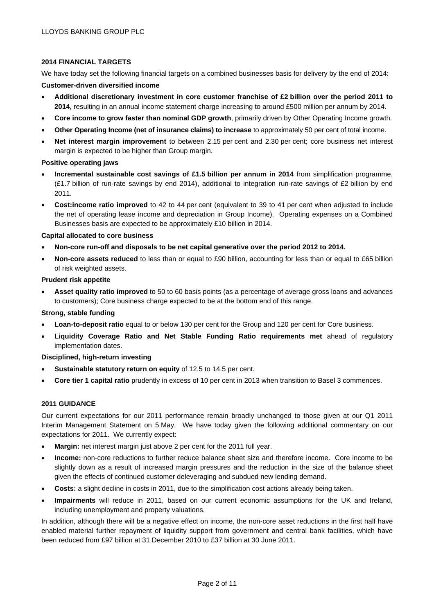# **2014 FINANCIAL TARGETS**

We have today set the following financial targets on a combined businesses basis for delivery by the end of 2014: **Customer-driven diversified income** 

- **Additional discretionary investment in core customer franchise of £2 billion over the period 2011 to 2014,** resulting in an annual income statement charge increasing to around £500 million per annum by 2014.
- **Core income to grow faster than nominal GDP growth**, primarily driven by Other Operating Income growth.
- **Other Operating Income (net of insurance claims) to increase** to approximately 50 per cent of total income.
- **Net interest margin improvement** to between 2.15 per cent and 2.30 per cent; core business net interest margin is expected to be higher than Group margin.

## **Positive operating jaws**

- **Incremental sustainable cost savings of £1.5 billion per annum in 2014** from simplification programme, (£1.7 billion of run-rate savings by end 2014), additional to integration run-rate savings of £2 billion by end 2011.
- **Cost:income ratio improved** to 42 to 44 per cent (equivalent to 39 to 41 per cent when adjusted to include the net of operating lease income and depreciation in Group Income). Operating expenses on a Combined Businesses basis are expected to be approximately £10 billion in 2014.

## **Capital allocated to core business**

- **Non-core run-off and disposals to be net capital generative over the period 2012 to 2014.**
- **Non-core assets reduced** to less than or equal to £90 billion, accounting for less than or equal to £65 billion of risk weighted assets.

#### **Prudent risk appetite**

• **Asset quality ratio improved** to 50 to 60 basis points (as a percentage of average gross loans and advances to customers); Core business charge expected to be at the bottom end of this range.

## **Strong, stable funding**

- **Loan-to-deposit ratio** equal to or below 130 per cent for the Group and 120 per cent for Core business.
- **Liquidity Coverage Ratio and Net Stable Funding Ratio requirements met** ahead of regulatory implementation dates.

**Disciplined, high-return investing** 

- **Sustainable statutory return on equity** of 12.5 to 14.5 per cent.
- **Core tier 1 capital ratio** prudently in excess of 10 per cent in 2013 when transition to Basel 3 commences.

# **2011 GUIDANCE**

Our current expectations for our 2011 performance remain broadly unchanged to those given at our Q1 2011 Interim Management Statement on 5 May. We have today given the following additional commentary on our expectations for 2011. We currently expect:

- **Margin:** net interest margin just above 2 per cent for the 2011 full year.
- **Income:** non-core reductions to further reduce balance sheet size and therefore income. Core income to be slightly down as a result of increased margin pressures and the reduction in the size of the balance sheet given the effects of continued customer deleveraging and subdued new lending demand.
- **Costs:** a slight decline in costs in 2011, due to the simplification cost actions already being taken.
- **Impairments** will reduce in 2011, based on our current economic assumptions for the UK and Ireland, including unemployment and property valuations.

In addition, although there will be a negative effect on income, the non-core asset reductions in the first half have enabled material further repayment of liquidity support from government and central bank facilities, which have been reduced from £97 billion at 31 December 2010 to £37 billion at 30 June 2011.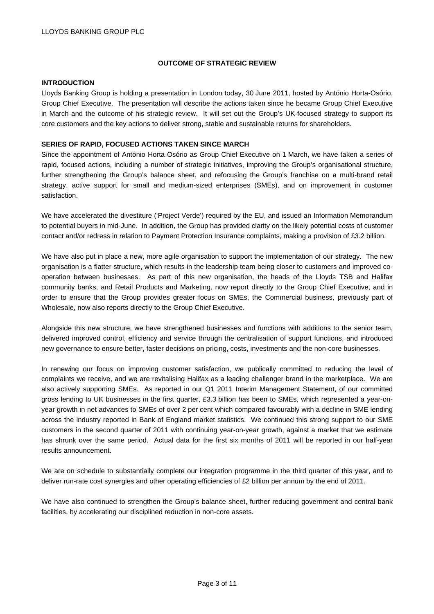# **OUTCOME OF STRATEGIC REVIEW**

## **INTRODUCTION**

Lloyds Banking Group is holding a presentation in London today, 30 June 2011, hosted by António Horta-Osório, Group Chief Executive. The presentation will describe the actions taken since he became Group Chief Executive in March and the outcome of his strategic review. It will set out the Group's UK-focused strategy to support its core customers and the key actions to deliver strong, stable and sustainable returns for shareholders.

# **SERIES OF RAPID, FOCUSED ACTIONS TAKEN SINCE MARCH**

Since the appointment of António Horta-Osório as Group Chief Executive on 1 March, we have taken a series of rapid, focused actions, including a number of strategic initiatives, improving the Group's organisational structure, further strengthening the Group's balance sheet, and refocusing the Group's franchise on a multi-brand retail strategy, active support for small and medium-sized enterprises (SMEs), and on improvement in customer satisfaction.

We have accelerated the divestiture ('Project Verde') required by the EU, and issued an Information Memorandum to potential buyers in mid-June. In addition, the Group has provided clarity on the likely potential costs of customer contact and/or redress in relation to Payment Protection Insurance complaints, making a provision of £3.2 billion.

We have also put in place a new, more agile organisation to support the implementation of our strategy. The new organisation is a flatter structure, which results in the leadership team being closer to customers and improved cooperation between businesses. As part of this new organisation, the heads of the Lloyds TSB and Halifax community banks, and Retail Products and Marketing, now report directly to the Group Chief Executive, and in order to ensure that the Group provides greater focus on SMEs, the Commercial business, previously part of Wholesale, now also reports directly to the Group Chief Executive.

Alongside this new structure, we have strengthened businesses and functions with additions to the senior team, delivered improved control, efficiency and service through the centralisation of support functions, and introduced new governance to ensure better, faster decisions on pricing, costs, investments and the non-core businesses.

In renewing our focus on improving customer satisfaction, we publically committed to reducing the level of complaints we receive, and we are revitalising Halifax as a leading challenger brand in the marketplace. We are also actively supporting SMEs. As reported in our Q1 2011 Interim Management Statement, of our committed gross lending to UK businesses in the first quarter, £3.3 billion has been to SMEs, which represented a year-onyear growth in net advances to SMEs of over 2 per cent which compared favourably with a decline in SME lending across the industry reported in Bank of England market statistics. We continued this strong support to our SME customers in the second quarter of 2011 with continuing year-on-year growth, against a market that we estimate has shrunk over the same period. Actual data for the first six months of 2011 will be reported in our half-year results announcement.

We are on schedule to substantially complete our integration programme in the third quarter of this year, and to deliver run-rate cost synergies and other operating efficiencies of £2 billion per annum by the end of 2011.

We have also continued to strengthen the Group's balance sheet, further reducing government and central bank facilities, by accelerating our disciplined reduction in non-core assets.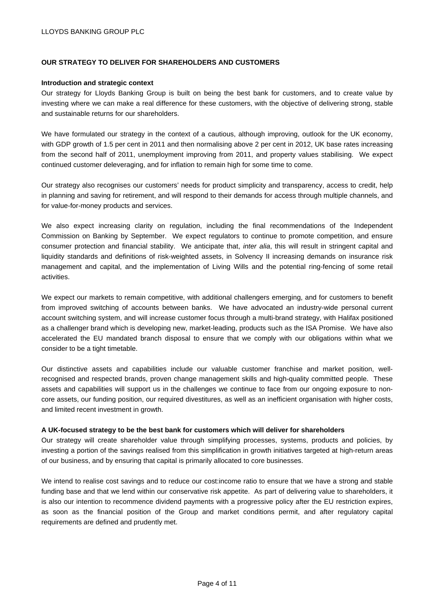# **OUR STRATEGY TO DELIVER FOR SHAREHOLDERS AND CUSTOMERS**

## **Introduction and strategic context**

Our strategy for Lloyds Banking Group is built on being the best bank for customers, and to create value by investing where we can make a real difference for these customers, with the objective of delivering strong, stable and sustainable returns for our shareholders.

We have formulated our strategy in the context of a cautious, although improving, outlook for the UK economy, with GDP growth of 1.5 per cent in 2011 and then normalising above 2 per cent in 2012, UK base rates increasing from the second half of 2011, unemployment improving from 2011, and property values stabilising. We expect continued customer deleveraging, and for inflation to remain high for some time to come.

Our strategy also recognises our customers' needs for product simplicity and transparency, access to credit, help in planning and saving for retirement, and will respond to their demands for access through multiple channels, and for value-for-money products and services.

We also expect increasing clarity on regulation, including the final recommendations of the Independent Commission on Banking by September. We expect regulators to continue to promote competition, and ensure consumer protection and financial stability. We anticipate that, *inter alia*, this will result in stringent capital and liquidity standards and definitions of risk-weighted assets, in Solvency II increasing demands on insurance risk management and capital, and the implementation of Living Wills and the potential ring-fencing of some retail activities.

We expect our markets to remain competitive, with additional challengers emerging, and for customers to benefit from improved switching of accounts between banks. We have advocated an industry-wide personal current account switching system, and will increase customer focus through a multi-brand strategy, with Halifax positioned as a challenger brand which is developing new, market-leading, products such as the ISA Promise. We have also accelerated the EU mandated branch disposal to ensure that we comply with our obligations within what we consider to be a tight timetable.

Our distinctive assets and capabilities include our valuable customer franchise and market position, wellrecognised and respected brands, proven change management skills and high-quality committed people. These assets and capabilities will support us in the challenges we continue to face from our ongoing exposure to noncore assets, our funding position, our required divestitures, as well as an inefficient organisation with higher costs, and limited recent investment in growth.

## **A UK-focused strategy to be the best bank for customers which will deliver for shareholders**

Our strategy will create shareholder value through simplifying processes, systems, products and policies, by investing a portion of the savings realised from this simplification in growth initiatives targeted at high-return areas of our business, and by ensuring that capital is primarily allocated to core businesses.

We intend to realise cost savings and to reduce our cost:income ratio to ensure that we have a strong and stable funding base and that we lend within our conservative risk appetite. As part of delivering value to shareholders, it is also our intention to recommence dividend payments with a progressive policy after the EU restriction expires, as soon as the financial position of the Group and market conditions permit, and after regulatory capital requirements are defined and prudently met.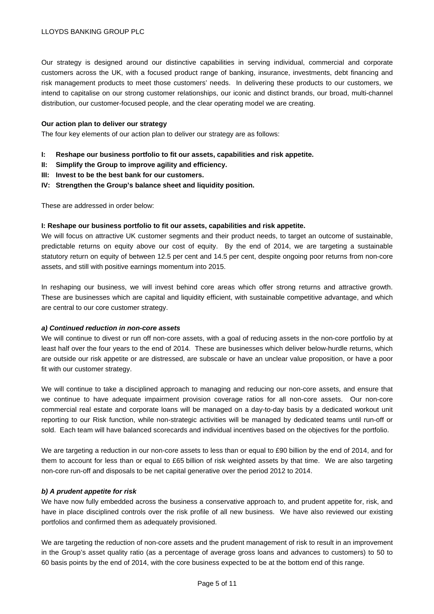Our strategy is designed around our distinctive capabilities in serving individual, commercial and corporate customers across the UK, with a focused product range of banking, insurance, investments, debt financing and risk management products to meet those customers' needs. In delivering these products to our customers, we intend to capitalise on our strong customer relationships, our iconic and distinct brands, our broad, multi-channel distribution, our customer-focused people, and the clear operating model we are creating.

#### **Our action plan to deliver our strategy**

The four key elements of our action plan to deliver our strategy are as follows:

- **I: Reshape our business portfolio to fit our assets, capabilities and risk appetite.**
- **II: Simplify the Group to improve agility and efficiency.**
- **III: Invest to be the best bank for our customers.**
- **IV: Strengthen the Group's balance sheet and liquidity position.**

These are addressed in order below:

#### **I: Reshape our business portfolio to fit our assets, capabilities and risk appetite.**

We will focus on attractive UK customer segments and their product needs, to target an outcome of sustainable, predictable returns on equity above our cost of equity. By the end of 2014, we are targeting a sustainable statutory return on equity of between 12.5 per cent and 14.5 per cent, despite ongoing poor returns from non-core assets, and still with positive earnings momentum into 2015.

In reshaping our business, we will invest behind core areas which offer strong returns and attractive growth. These are businesses which are capital and liquidity efficient, with sustainable competitive advantage, and which are central to our core customer strategy.

#### *a) Continued reduction in non-core assets*

We will continue to divest or run off non-core assets, with a goal of reducing assets in the non-core portfolio by at least half over the four years to the end of 2014. These are businesses which deliver below-hurdle returns, which are outside our risk appetite or are distressed, are subscale or have an unclear value proposition, or have a poor fit with our customer strategy.

We will continue to take a disciplined approach to managing and reducing our non-core assets, and ensure that we continue to have adequate impairment provision coverage ratios for all non-core assets. Our non-core commercial real estate and corporate loans will be managed on a day-to-day basis by a dedicated workout unit reporting to our Risk function, while non-strategic activities will be managed by dedicated teams until run-off or sold. Each team will have balanced scorecards and individual incentives based on the objectives for the portfolio.

We are targeting a reduction in our non-core assets to less than or equal to £90 billion by the end of 2014, and for them to account for less than or equal to £65 billion of risk weighted assets by that time. We are also targeting non-core run-off and disposals to be net capital generative over the period 2012 to 2014.

## *b) A prudent appetite for risk*

We have now fully embedded across the business a conservative approach to, and prudent appetite for, risk, and have in place disciplined controls over the risk profile of all new business. We have also reviewed our existing portfolios and confirmed them as adequately provisioned.

We are targeting the reduction of non-core assets and the prudent management of risk to result in an improvement in the Group's asset quality ratio (as a percentage of average gross loans and advances to customers) to 50 to 60 basis points by the end of 2014, with the core business expected to be at the bottom end of this range.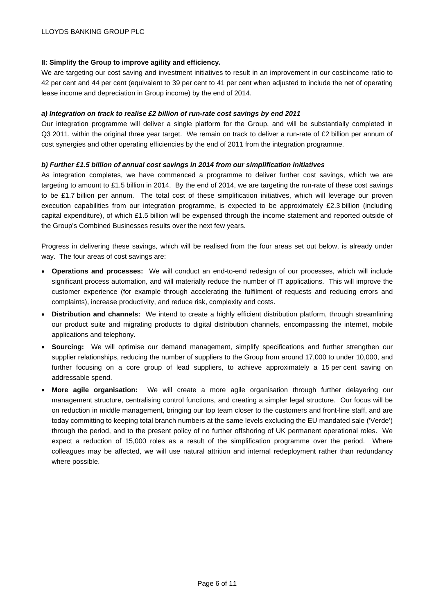# **II: Simplify the Group to improve agility and efficiency.**

We are targeting our cost saving and investment initiatives to result in an improvement in our cost:income ratio to 42 per cent and 44 per cent (equivalent to 39 per cent to 41 per cent when adjusted to include the net of operating lease income and depreciation in Group income) by the end of 2014.

# *a) Integration on track to realise £2 billion of run-rate cost savings by end 2011*

Our integration programme will deliver a single platform for the Group, and will be substantially completed in Q3 2011, within the original three year target. We remain on track to deliver a run-rate of £2 billion per annum of cost synergies and other operating efficiencies by the end of 2011 from the integration programme.

# *b) Further £1.5 billion of annual cost savings in 2014 from our simplification initiatives*

As integration completes, we have commenced a programme to deliver further cost savings, which we are targeting to amount to £1.5 billion in 2014. By the end of 2014, we are targeting the run-rate of these cost savings to be £1.7 billion per annum. The total cost of these simplification initiatives, which will leverage our proven execution capabilities from our integration programme, is expected to be approximately £2.3 billion (including capital expenditure), of which £1.5 billion will be expensed through the income statement and reported outside of the Group's Combined Businesses results over the next few years.

Progress in delivering these savings, which will be realised from the four areas set out below, is already under way. The four areas of cost savings are:

- **Operations and processes:** We will conduct an end-to-end redesign of our processes, which will include significant process automation, and will materially reduce the number of IT applications. This will improve the customer experience (for example through accelerating the fulfilment of requests and reducing errors and complaints), increase productivity, and reduce risk, complexity and costs.
- **Distribution and channels:** We intend to create a highly efficient distribution platform, through streamlining our product suite and migrating products to digital distribution channels, encompassing the internet, mobile applications and telephony.
- **Sourcing:** We will optimise our demand management, simplify specifications and further strengthen our supplier relationships, reducing the number of suppliers to the Group from around 17,000 to under 10,000, and further focusing on a core group of lead suppliers, to achieve approximately a 15 per cent saving on addressable spend.
- **More agile organisation:** We will create a more agile organisation through further delayering our management structure, centralising control functions, and creating a simpler legal structure. Our focus will be on reduction in middle management, bringing our top team closer to the customers and front-line staff, and are today committing to keeping total branch numbers at the same levels excluding the EU mandated sale ('Verde') through the period, and to the present policy of no further offshoring of UK permanent operational roles. We expect a reduction of 15,000 roles as a result of the simplification programme over the period. Where colleagues may be affected, we will use natural attrition and internal redeployment rather than redundancy where possible.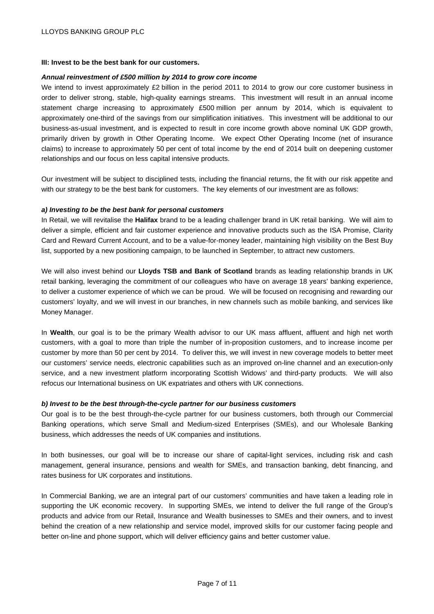#### **III: Invest to be the best bank for our customers.**

#### *Annual reinvestment of £500 million by 2014 to grow core income*

We intend to invest approximately £2 billion in the period 2011 to 2014 to grow our core customer business in order to deliver strong, stable, high-quality earnings streams. This investment will result in an annual income statement charge increasing to approximately £500 million per annum by 2014, which is equivalent to approximately one-third of the savings from our simplification initiatives. This investment will be additional to our business-as-usual investment, and is expected to result in core income growth above nominal UK GDP growth, primarily driven by growth in Other Operating Income. We expect Other Operating Income (net of insurance claims) to increase to approximately 50 per cent of total income by the end of 2014 built on deepening customer relationships and our focus on less capital intensive products.

Our investment will be subject to disciplined tests, including the financial returns, the fit with our risk appetite and with our strategy to be the best bank for customers. The key elements of our investment are as follows:

#### *a) Investing to be the best bank for personal customers*

In Retail, we will revitalise the **Halifax** brand to be a leading challenger brand in UK retail banking. We will aim to deliver a simple, efficient and fair customer experience and innovative products such as the ISA Promise, Clarity Card and Reward Current Account, and to be a value-for-money leader, maintaining high visibility on the Best Buy list, supported by a new positioning campaign, to be launched in September, to attract new customers.

We will also invest behind our **Lloyds TSB and Bank of Scotland** brands as leading relationship brands in UK retail banking, leveraging the commitment of our colleagues who have on average 18 years' banking experience, to deliver a customer experience of which we can be proud. We will be focused on recognising and rewarding our customers' loyalty, and we will invest in our branches, in new channels such as mobile banking, and services like Money Manager.

In **Wealth**, our goal is to be the primary Wealth advisor to our UK mass affluent, affluent and high net worth customers, with a goal to more than triple the number of in-proposition customers, and to increase income per customer by more than 50 per cent by 2014. To deliver this, we will invest in new coverage models to better meet our customers' service needs, electronic capabilities such as an improved on-line channel and an execution-only service, and a new investment platform incorporating Scottish Widows' and third-party products. We will also refocus our International business on UK expatriates and others with UK connections.

#### *b) Invest to be the best through-the-cycle partner for our business customers*

Our goal is to be the best through-the-cycle partner for our business customers, both through our Commercial Banking operations, which serve Small and Medium-sized Enterprises (SMEs), and our Wholesale Banking business, which addresses the needs of UK companies and institutions.

In both businesses, our goal will be to increase our share of capital-light services, including risk and cash management, general insurance, pensions and wealth for SMEs, and transaction banking, debt financing, and rates business for UK corporates and institutions.

In Commercial Banking, we are an integral part of our customers' communities and have taken a leading role in supporting the UK economic recovery. In supporting SMEs, we intend to deliver the full range of the Group's products and advice from our Retail, Insurance and Wealth businesses to SMEs and their owners, and to invest behind the creation of a new relationship and service model, improved skills for our customer facing people and better on-line and phone support, which will deliver efficiency gains and better customer value.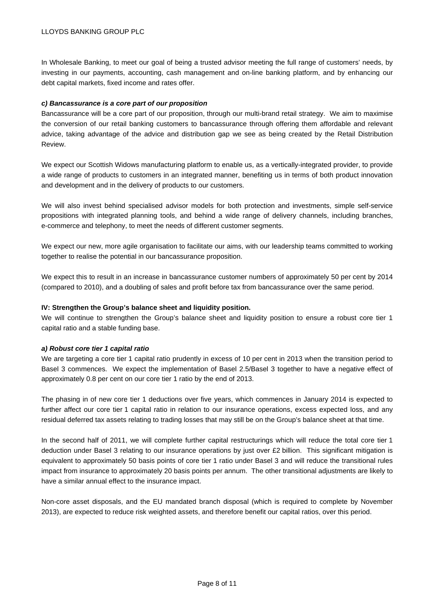In Wholesale Banking, to meet our goal of being a trusted advisor meeting the full range of customers' needs, by investing in our payments, accounting, cash management and on-line banking platform, and by enhancing our debt capital markets, fixed income and rates offer.

# *c) Bancassurance is a core part of our proposition*

Bancassurance will be a core part of our proposition, through our multi-brand retail strategy. We aim to maximise the conversion of our retail banking customers to bancassurance through offering them affordable and relevant advice, taking advantage of the advice and distribution gap we see as being created by the Retail Distribution Review.

We expect our Scottish Widows manufacturing platform to enable us, as a vertically-integrated provider, to provide a wide range of products to customers in an integrated manner, benefiting us in terms of both product innovation and development and in the delivery of products to our customers.

We will also invest behind specialised advisor models for both protection and investments, simple self-service propositions with integrated planning tools, and behind a wide range of delivery channels, including branches, e-commerce and telephony, to meet the needs of different customer segments.

We expect our new, more agile organisation to facilitate our aims, with our leadership teams committed to working together to realise the potential in our bancassurance proposition.

We expect this to result in an increase in bancassurance customer numbers of approximately 50 per cent by 2014 (compared to 2010), and a doubling of sales and profit before tax from bancassurance over the same period.

# **IV: Strengthen the Group's balance sheet and liquidity position.**

We will continue to strengthen the Group's balance sheet and liquidity position to ensure a robust core tier 1 capital ratio and a stable funding base.

## *a) Robust core tier 1 capital ratio*

We are targeting a core tier 1 capital ratio prudently in excess of 10 per cent in 2013 when the transition period to Basel 3 commences. We expect the implementation of Basel 2.5/Basel 3 together to have a negative effect of approximately 0.8 per cent on our core tier 1 ratio by the end of 2013.

The phasing in of new core tier 1 deductions over five years, which commences in January 2014 is expected to further affect our core tier 1 capital ratio in relation to our insurance operations, excess expected loss, and any residual deferred tax assets relating to trading losses that may still be on the Group's balance sheet at that time.

In the second half of 2011, we will complete further capital restructurings which will reduce the total core tier 1 deduction under Basel 3 relating to our insurance operations by just over £2 billion. This significant mitigation is equivalent to approximately 50 basis points of core tier 1 ratio under Basel 3 and will reduce the transitional rules impact from insurance to approximately 20 basis points per annum. The other transitional adjustments are likely to have a similar annual effect to the insurance impact.

Non-core asset disposals, and the EU mandated branch disposal (which is required to complete by November 2013), are expected to reduce risk weighted assets, and therefore benefit our capital ratios, over this period.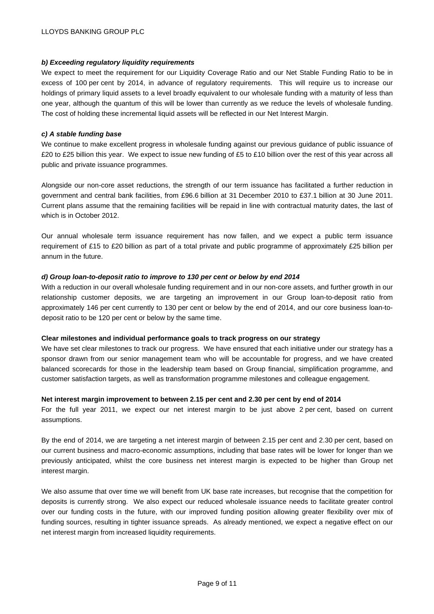# *b) Exceeding regulatory liquidity requirements*

We expect to meet the requirement for our Liquidity Coverage Ratio and our Net Stable Funding Ratio to be in excess of 100 per cent by 2014, in advance of regulatory requirements. This will require us to increase our holdings of primary liquid assets to a level broadly equivalent to our wholesale funding with a maturity of less than one year, although the quantum of this will be lower than currently as we reduce the levels of wholesale funding. The cost of holding these incremental liquid assets will be reflected in our Net Interest Margin.

# *c) A stable funding base*

We continue to make excellent progress in wholesale funding against our previous guidance of public issuance of £20 to £25 billion this year. We expect to issue new funding of £5 to £10 billion over the rest of this year across all public and private issuance programmes.

Alongside our non-core asset reductions, the strength of our term issuance has facilitated a further reduction in government and central bank facilities, from £96.6 billion at 31 December 2010 to £37.1 billion at 30 June 2011. Current plans assume that the remaining facilities will be repaid in line with contractual maturity dates, the last of which is in October 2012.

Our annual wholesale term issuance requirement has now fallen, and we expect a public term issuance requirement of £15 to £20 billion as part of a total private and public programme of approximately £25 billion per annum in the future.

# *d) Group loan-to-deposit ratio to improve to 130 per cent or below by end 2014*

With a reduction in our overall wholesale funding requirement and in our non-core assets, and further growth in our relationship customer deposits, we are targeting an improvement in our Group loan-to-deposit ratio from approximately 146 per cent currently to 130 per cent or below by the end of 2014, and our core business loan-todeposit ratio to be 120 per cent or below by the same time.

# **Clear milestones and individual performance goals to track progress on our strategy**

We have set clear milestones to track our progress. We have ensured that each initiative under our strategy has a sponsor drawn from our senior management team who will be accountable for progress, and we have created balanced scorecards for those in the leadership team based on Group financial, simplification programme, and customer satisfaction targets, as well as transformation programme milestones and colleague engagement.

## **Net interest margin improvement to between 2.15 per cent and 2.30 per cent by end of 2014**

For the full year 2011, we expect our net interest margin to be just above 2 per cent, based on current assumptions.

By the end of 2014, we are targeting a net interest margin of between 2.15 per cent and 2.30 per cent, based on our current business and macro-economic assumptions, including that base rates will be lower for longer than we previously anticipated, whilst the core business net interest margin is expected to be higher than Group net interest margin.

We also assume that over time we will benefit from UK base rate increases, but recognise that the competition for deposits is currently strong. We also expect our reduced wholesale issuance needs to facilitate greater control over our funding costs in the future, with our improved funding position allowing greater flexibility over mix of funding sources, resulting in tighter issuance spreads. As already mentioned, we expect a negative effect on our net interest margin from increased liquidity requirements.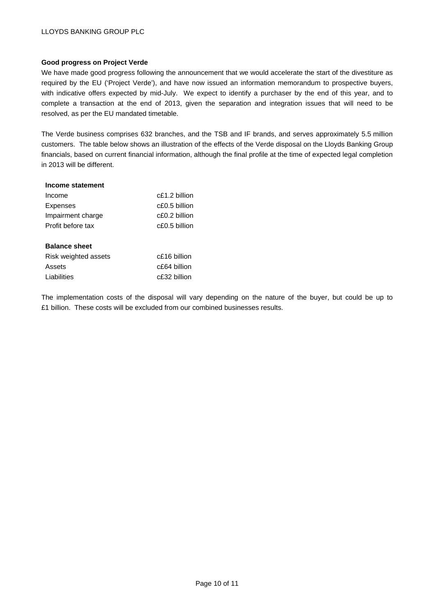# **Good progress on Project Verde**

We have made good progress following the announcement that we would accelerate the start of the divestiture as required by the EU ('Project Verde'), and have now issued an information memorandum to prospective buyers, with indicative offers expected by mid-July. We expect to identify a purchaser by the end of this year, and to complete a transaction at the end of 2013, given the separation and integration issues that will need to be resolved, as per the EU mandated timetable.

The Verde business comprises 632 branches, and the TSB and IF brands, and serves approximately 5.5 million customers. The table below shows an illustration of the effects of the Verde disposal on the Lloyds Banking Group financials, based on current financial information, although the final profile at the time of expected legal completion in 2013 will be different.

| Income statement     |                  |
|----------------------|------------------|
| Income               | $c$ £1.2 billion |
| Expenses             | $c$ £0.5 billion |
| Impairment charge    | $c$ £0.2 billion |
| Profit before tax    | c£0.5 billion    |
|                      |                  |
| <b>Balance sheet</b> |                  |
| Risk weighted assets | c£16 billion     |
| Assets               | c£64 billion     |
| Liabilities          | $c$ £32 billion  |
|                      |                  |

The implementation costs of the disposal will vary depending on the nature of the buyer, but could be up to £1 billion. These costs will be excluded from our combined businesses results.